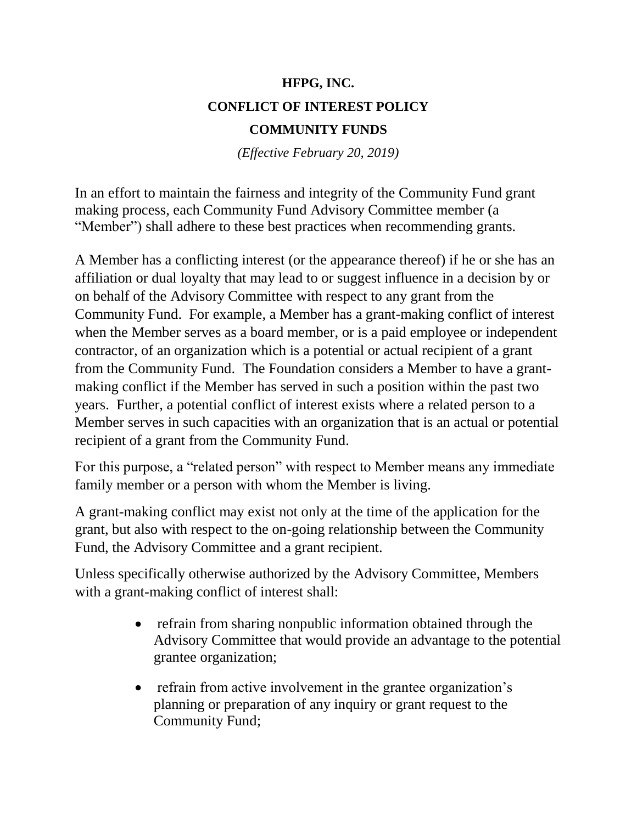## **HFPG, INC. CONFLICT OF INTEREST POLICY COMMUNITY FUNDS**

*(Effective February 20, 2019)*

In an effort to maintain the fairness and integrity of the Community Fund grant making process, each Community Fund Advisory Committee member (a "Member") shall adhere to these best practices when recommending grants.

A Member has a conflicting interest (or the appearance thereof) if he or she has an affiliation or dual loyalty that may lead to or suggest influence in a decision by or on behalf of the Advisory Committee with respect to any grant from the Community Fund. For example, a Member has a grant-making conflict of interest when the Member serves as a board member, or is a paid employee or independent contractor, of an organization which is a potential or actual recipient of a grant from the Community Fund. The Foundation considers a Member to have a grantmaking conflict if the Member has served in such a position within the past two years. Further, a potential conflict of interest exists where a related person to a Member serves in such capacities with an organization that is an actual or potential recipient of a grant from the Community Fund.

For this purpose, a "related person" with respect to Member means any immediate family member or a person with whom the Member is living.

A grant-making conflict may exist not only at the time of the application for the grant, but also with respect to the on-going relationship between the Community Fund, the Advisory Committee and a grant recipient.

Unless specifically otherwise authorized by the Advisory Committee, Members with a grant-making conflict of interest shall:

- refrain from sharing nonpublic information obtained through the Advisory Committee that would provide an advantage to the potential grantee organization;
- refrain from active involvement in the grantee organization's planning or preparation of any inquiry or grant request to the Community Fund;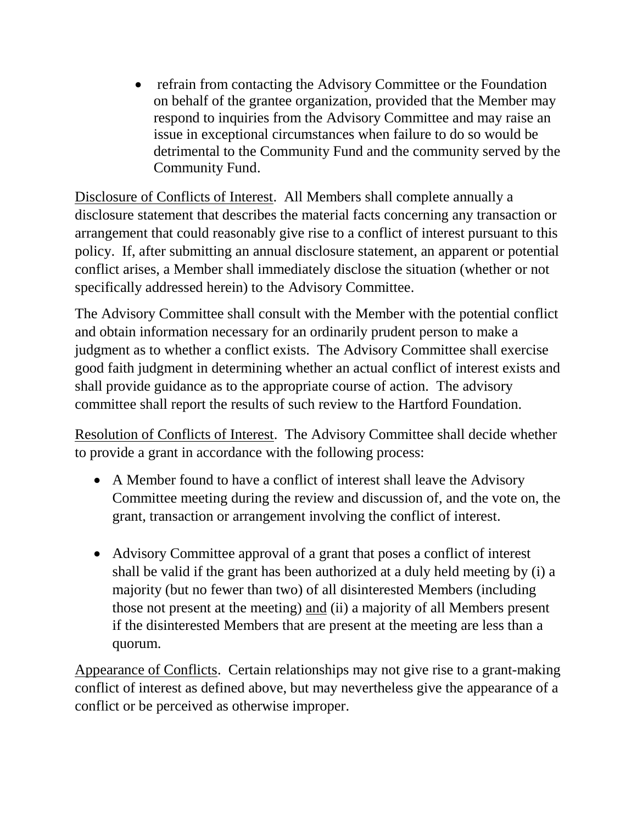• refrain from contacting the Advisory Committee or the Foundation on behalf of the grantee organization, provided that the Member may respond to inquiries from the Advisory Committee and may raise an issue in exceptional circumstances when failure to do so would be detrimental to the Community Fund and the community served by the Community Fund.

Disclosure of Conflicts of Interest. All Members shall complete annually a disclosure statement that describes the material facts concerning any transaction or arrangement that could reasonably give rise to a conflict of interest pursuant to this policy. If, after submitting an annual disclosure statement, an apparent or potential conflict arises, a Member shall immediately disclose the situation (whether or not specifically addressed herein) to the Advisory Committee.

The Advisory Committee shall consult with the Member with the potential conflict and obtain information necessary for an ordinarily prudent person to make a judgment as to whether a conflict exists. The Advisory Committee shall exercise good faith judgment in determining whether an actual conflict of interest exists and shall provide guidance as to the appropriate course of action. The advisory committee shall report the results of such review to the Hartford Foundation.

Resolution of Conflicts of Interest. The Advisory Committee shall decide whether to provide a grant in accordance with the following process:

- A Member found to have a conflict of interest shall leave the Advisory Committee meeting during the review and discussion of, and the vote on, the grant, transaction or arrangement involving the conflict of interest.
- Advisory Committee approval of a grant that poses a conflict of interest shall be valid if the grant has been authorized at a duly held meeting by (i) a majority (but no fewer than two) of all disinterested Members (including those not present at the meeting) and (ii) a majority of all Members present if the disinterested Members that are present at the meeting are less than a quorum.

Appearance of Conflicts. Certain relationships may not give rise to a grant-making conflict of interest as defined above, but may nevertheless give the appearance of a conflict or be perceived as otherwise improper.